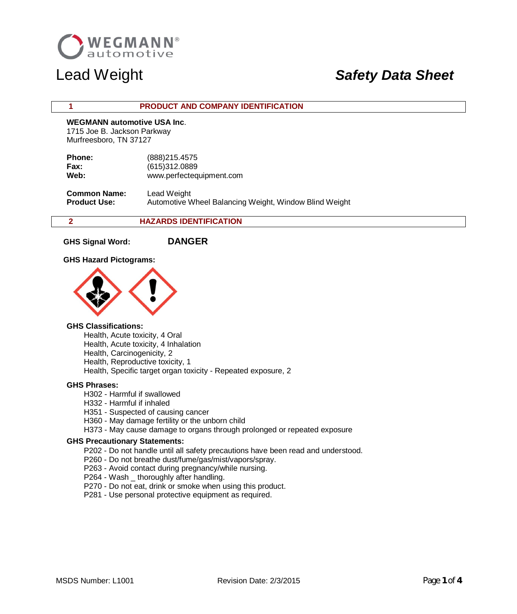

### **1 PRODUCT AND COMPANY IDENTIFICATION**

## **WEGMANN automotive USA Inc**.

 1715 Joe B. Jackson Parkway Murfreesboro, TN 37127

| <b>Phone:</b> | (888) 215.4575           |
|---------------|--------------------------|
| Fax:          | (615)312.0889            |
| Web:          | www.perfectequipment.com |

 **Common Name:** Lead Weight **Product Use:** Automotive Wheel Balancing Weight, Window Blind Weight

## **2 HAZARDS IDENTIFICATION**

**GHS Signal Word: DANGER**

### **GHS Hazard Pictograms:**



### **GHS Classifications:**

Health, Acute toxicity, 4 Oral Health, Acute toxicity, 4 Inhalation Health, Carcinogenicity, 2 Health, Reproductive toxicity, 1 Health, Specific target organ toxicity - Repeated exposure, 2

### **GHS Phrases:**

H302 - Harmful if swallowed

- H332 Harmful if inhaled
- H351 Suspected of causing cancer
- H360 May damage fertility or the unborn child
- H373 May cause damage to organs through prolonged or repeated exposure

### **GHS Precautionary Statements:**

P202 - Do not handle until all safety precautions have been read and understood.

- P260 Do not breathe dust/fume/gas/mist/vapors/spray.
- P263 Avoid contact during pregnancy/while nursing.
- P264 Wash \_ thoroughly after handling.
- P270 Do not eat, drink or smoke when using this product.
- P281 Use personal protective equipment as required.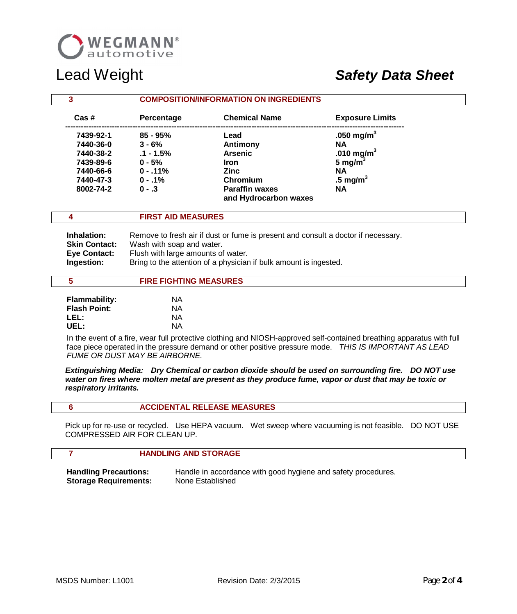

| 3               |             | <b>COMPOSITION/INFORMATION ON INGREDIENTS</b>  |                        |  |
|-----------------|-------------|------------------------------------------------|------------------------|--|
| $\text{Cas}\;#$ | Percentage  | <b>Chemical Name</b>                           | <b>Exposure Limits</b> |  |
| 7439-92-1       | $85 - 95%$  | Lead                                           | .050 mg/m <sup>3</sup> |  |
| 7440-36-0       | $3 - 6%$    | Antimony                                       | ΝA                     |  |
| 7440-38-2       | $.1 - 1.5%$ | <b>Arsenic</b>                                 | .010 mg/m <sup>3</sup> |  |
| 7439-89-6       | $0 - 5%$    | <b>Iron</b>                                    | 5 mg/m <sup>3</sup>    |  |
| 7440-66-6       | $0 - 11%$   | <b>Zinc</b>                                    | ΝA                     |  |
| 7440-47-3       | $0 - 1\%$   | Chromium                                       | .5 mg/ $m3$            |  |
| 8002-74-2       | $0 - 3$     | <b>Paraffin waxes</b><br>and Hydrocarbon waxes | <b>NA</b>              |  |

### **4 FIRST AID MEASURES**

| Inhalation:          | Remove to fresh air if dust or fume is present and consult a doctor if necessary. |
|----------------------|-----------------------------------------------------------------------------------|
| <b>Skin Contact:</b> | Wash with soap and water.                                                         |
| <b>Eve Contact:</b>  | Flush with large amounts of water.                                                |
| Ingestion:           | Bring to the attention of a physician if bulk amount is ingested.                 |

### **5 FIRE FIGHTING MEASURES**

| <b>Flammability:</b> | ΝA |
|----------------------|----|
| <b>Flash Point:</b>  | ΝA |
| LEL:                 | ΝA |
| UEL:                 | ΝA |

In the event of a fire, wear full protective clothing and NIOSH-approved self-contained breathing apparatus with full face piece operated in the pressure demand or other positive pressure mode. *THIS IS IMPORTANT AS LEAD FUME OR DUST MAY BE AIRBORNE.*

*Extinguishing Media: Dry Chemical or carbon dioxide should be used on surrounding fire. DO NOT use water on fires where molten metal are present as they produce fume, vapor or dust that may be toxic or respiratory irritants.*

|--|

 Pick up for re-use or recycled. Use HEPA vacuum. Wet sweep where vacuuming is not feasible. DO NOT USE COMPRESSED AIR FOR CLEAN UP.

### **7 HANDLING AND STORAGE**

**Handling Precautions:** Handle in accordance with good hygiene and safety procedures.  **Storage Requirements:** None Established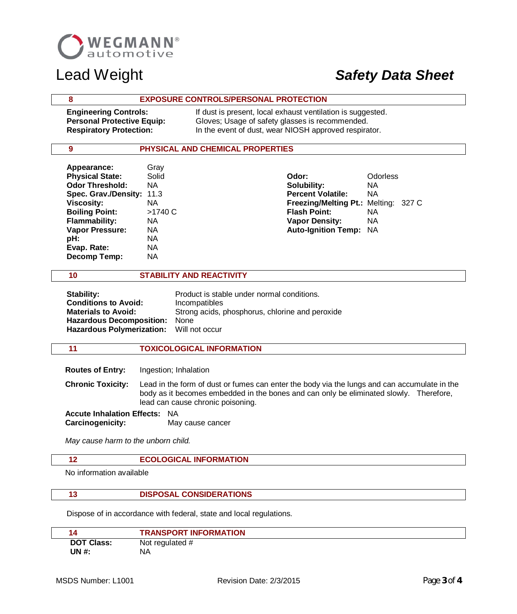

### **8 EXPOSURE CONTROLS/PERSONAL PROTECTION**

**Engineering Controls:** If dust is present, local exhaust ventilation is suggested. **Personal Protective Equip:** Gloves; Usage of safety glasses is recommended.  **Respiratory Protection:** In the event of dust, wear NIOSH approved respirator.

### **9 PHYSICAL AND CHEMICAL PROPERTIES**

| Appearance:            | Gray  |
|------------------------|-------|
| <b>Physical State:</b> | Solid |
| <b>Odor Threshold:</b> | NΑ    |
| Spec. Grav./Density:   | 11.3  |
| <b>Viscosity:</b>      | NΑ    |
| <b>Boiling Point:</b>  | >1740 |
| <b>Flammability:</b>   | NΑ    |
| <b>Vapor Pressure:</b> | NΑ    |
| pH:                    | NΑ    |
| Evap. Rate:            | NΑ    |
| Decomp Temp:           | ΝA    |
|                        |       |

 **Physical State:** Solid **Odor:** Odorless **Solubility:** NA **Percent Volatile:** NA **Freezing/Melting Pt.: Melting: 327 C C** Boiling Point: NA **Vapor Density:** NA **Auto-Ignition Temp: NA** 

### **10 STABILITY AND REACTIVITY**

| Stability:                               | Product is stable under normal conditions.      |
|------------------------------------------|-------------------------------------------------|
| <b>Conditions to Avoid:</b>              | Incompatibles                                   |
| <b>Materials to Avoid:</b>               | Strong acids, phosphorus, chlorine and peroxide |
| Hazardous Decomposition: None            |                                                 |
| Hazardous Polymerization: Will not occur |                                                 |
|                                          |                                                 |

### **11 TOXICOLOGICAL INFORMATION**

 **Routes of Entry:** Ingestion; Inhalation

 **Chronic Toxicity:** Lead in the form of dust or fumes can enter the body via the lungs and can accumulate in the body as it becomes embedded in the bones and can only be eliminated slowly. Therefore, lead can cause chronic poisoning.

 **Accute Inhalation Effects:** NA **Carcinogenicity:** May cause cancer

*May cause harm to the unborn child.*

### **12 ECOLOGICAL INFORMATION**

No information available

### **13 DISPOSAL CONSIDERATIONS**

Dispose of in accordance with federal, state and local regulations.

|                   | <b>TRANSPORT INFORMATION</b> |
|-------------------|------------------------------|
| <b>DOT Class:</b> | Not regulated #              |
| UN #:             | <b>NA</b>                    |